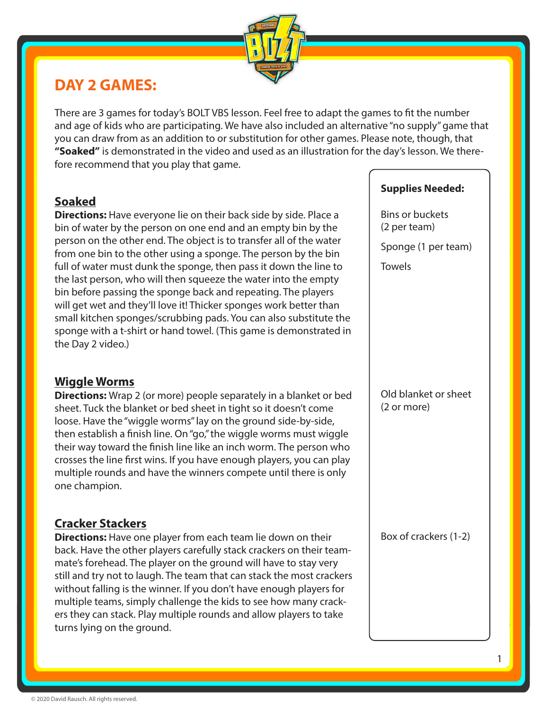

## **DAY 2 GAMES:**

There are 3 games for today's BOLT VBS lesson. Feel free to adapt the games to fit the number and age of kids who are participating. We have also included an alternative "no supply" game that you can draw from as an addition to or substitution for other games. Please note, though, that **"Soaked"** is demonstrated in the video and used as an illustration for the day's lesson. We therefore recommend that you play that game.

#### **Soaked**

**Directions:** Have everyone lie on their back side by side. Place a bin of water by the person on one end and an empty bin by the person on the other end. The object is to transfer all of the water from one bin to the other using a sponge. The person by the bin full of water must dunk the sponge, then pass it down the line to the last person, who will then squeeze the water into the empty bin before passing the sponge back and repeating. The players will get wet and they'll love it! Thicker sponges work better than small kitchen sponges/scrubbing pads. You can also substitute the sponge with a t-shirt or hand towel. (This game is demonstrated in the Day 2 video.)

#### **Wiggle Worms**

**Directions:** Wrap 2 (or more) people separately in a blanket or bed sheet. Tuck the blanket or bed sheet in tight so it doesn't come loose. Have the "wiggle worms" lay on the ground side-by-side, then establish a finish line. On "go," the wiggle worms must wiggle their way toward the finish line like an inch worm. The person who crosses the line first wins. If you have enough players, you can play multiple rounds and have the winners compete until there is only one champion.

### **Cracker Stackers**

**Directions:** Have one player from each team lie down on their back. Have the other players carefully stack crackers on their teammate's forehead. The player on the ground will have to stay very still and try not to laugh. The team that can stack the most crackers without falling is the winner. If you don't have enough players for multiple teams, simply challenge the kids to see how many crackers they can stack. Play multiple rounds and allow players to take turns lying on the ground.

#### **Supplies Needed:**

Bins or buckets (2 per team)

Sponge (1 per team)

**Towels** 

Old blanket or sheet (2 or more)

Box of crackers (1-2)